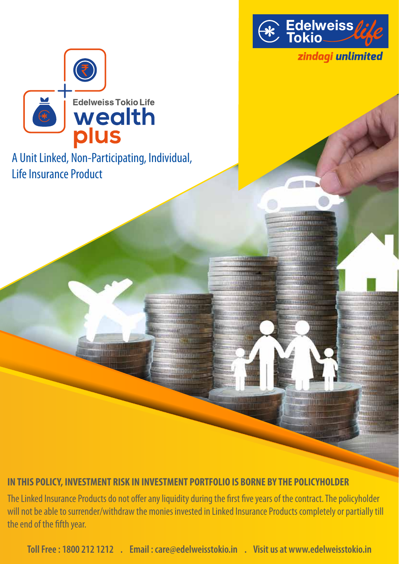

**TELEVISION NAMED IN** 777777777777777777777777 **MUNICIPALITY MARY DURING** 

**Range Commission** 

anggunggungan.<br>Pagawan

<u>WHATIRITIERI</u> <u> Benning a</u>

<u> HIBBIOGRAFI STABBIOLO</u> **MARSERSTER** 

mm

ייותם

WH **STORY** 

**IRE ITE** 

**TIULE** 

**CONTRACTORES** 

11144456545252653

**Akcid Detraining** 

**WILLIAM TILL** 

**110 COVID** 

**Continued HUITER** 

11111111111 *UTERRIT* 

**FILLY FEREDE** 

器

11111111111

<u>Immuni</u>u

11711112000 **PERCHARD** 

**Company of the Company** 

<u> amiliaratori</u>c 11111111111111111111

*SECONDARY REAL EX* 

111013878

**BANGGEREEN** 

zindagi unlimited



A Unit Linked, Non-Participating, Individual, Life Insurance Product

THE

田長 画面

#### IN THIS POLICY, INVESTMENT RISK IN INVESTMENT PORTFOLIO IS BORNE BY THE POLICYHOLDER **IN THIS POLICY, INVESTMENT RISK IN INVESTMENT PORTFOLIO IS BORNE BY THE POLICYHOLDER**

**LEARNER CHELLIERE** 

**A TELEVISION** 

**BUILDING CALL DE** <u>an mara</u>

**MARKETHERE** 

The Linked Insurance Products do not offer any liquidity during the first five years of the contract. The policyholder will not be able to surrender/withdraw the monies invested in Linked Insurance Products completely or partially till Linked Insurance Products completely or partially till the end of the fth year. the end of the fth year.

**Toll Free : 1800 212 1212 . Email : care@edelweisstokio.in . Visit us at www.edelweisstokio.in Toll Free : 1800 212 1212 . Email : care@edelweisstokio.in . Visit us at www.edelweisstokio.in**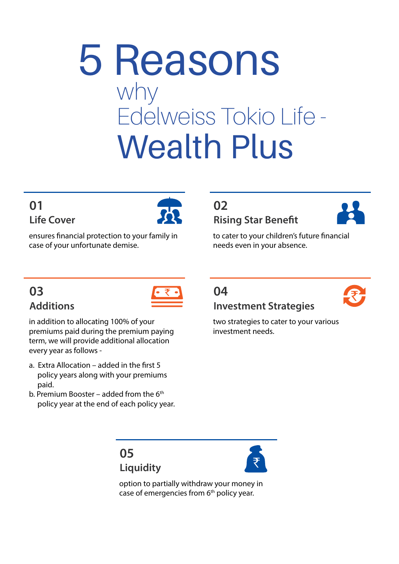# 5 Reasons why Edelweiss Tokio Life - Wealth Plus

### **Life Cover 01**



ensures financial protection to your family in case of your unfortunate demise.

### **Additions 03**



in addition to allocating 100% of your premiums paid during the premium paying term, we will provide additional allocation every year as follows -

- a. Extra Allocation added in the first  $5$  policy years along with your premiums paid.
- b. Premium Booster added from the  $6<sup>th</sup>$ policy year at the end of each policy year.

### **02 Rising Star Benefit**



to cater to your children's future financial needs even in your absence.

### **Investment Strategies 04**

two strategies to cater to your various investment needs.

**Liquidity 05**



option to partially withdraw your money in case of emergencies from  $6<sup>th</sup>$  policy year.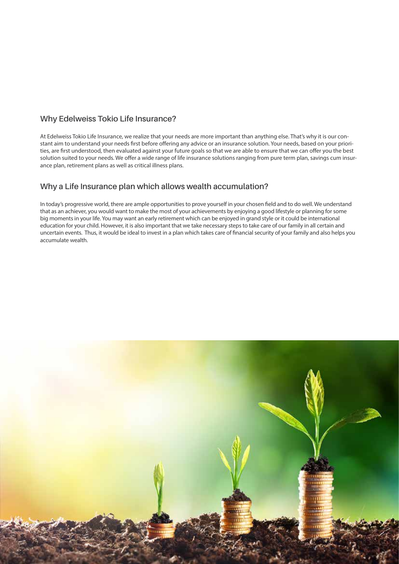#### **Why Edelweiss Tokio Life Insurance?**

At Edelweiss Tokio Life Insurance, we realize that your needs are more important than anything else. That's why it is our constant aim to understand your needs first before offering any advice or an insurance solution. Your needs, based on your priorities, are first understood, then evaluated against your future goals so that we are able to ensure that we can offer you the best solution suited to your needs. We offer a wide range of life insurance solutions ranging from pure term plan, savings cum insurance plan, retirement plans as well as critical illness plans.

#### **Why a Life Insurance plan which allows wealth accumulation?**

In today's progressive world, there are ample opportunities to prove yourself in your chosen field and to do well. We understand that as an achiever, you would want to make the most of your achievements by enjoying a good lifestyle or planning for some big moments in your life. You may want an early retirement which can be enjoyed in grand style or it could be international education for your child. However, it is also important that we take necessary steps to take care of our family in all certain and uncertain events. Thus, it would be ideal to invest in a plan which takes care of financial security of your family and also helps you accumulate wealth.

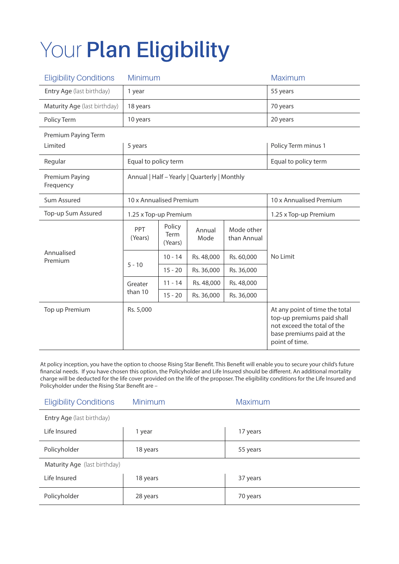## Your **Plan Eligibility**

| <b>Eligibility Conditions</b> | Minimum                                      |                           |                | Maximum                   |                                                                                                                                            |  |
|-------------------------------|----------------------------------------------|---------------------------|----------------|---------------------------|--------------------------------------------------------------------------------------------------------------------------------------------|--|
| Entry Age (last birthday)     | 1 year                                       |                           |                | 55 years                  |                                                                                                                                            |  |
| Maturity Age (last birthday)  | 18 years                                     |                           |                |                           | 70 years                                                                                                                                   |  |
| Policy Term                   | 10 years                                     |                           |                |                           | 20 years                                                                                                                                   |  |
| Premium Paying Term           |                                              |                           |                |                           |                                                                                                                                            |  |
| Limited                       | 5 years                                      |                           |                |                           | Policy Term minus 1                                                                                                                        |  |
| Regular                       | Equal to policy term                         |                           |                |                           | Equal to policy term                                                                                                                       |  |
| Premium Paying<br>Frequency   | Annual   Half - Yearly   Quarterly   Monthly |                           |                |                           |                                                                                                                                            |  |
| Sum Assured                   | 10 x Annualised Premium                      |                           |                | 10 x Annualised Premium   |                                                                                                                                            |  |
| Top-up Sum Assured            |                                              | 1.25 x Top-up Premium     |                |                           | 1.25 x Top-up Premium                                                                                                                      |  |
|                               | PPT<br>(Years)                               | Policy<br>Term<br>(Years) | Annual<br>Mode | Mode other<br>than Annual |                                                                                                                                            |  |
| Annualised<br>Premium         | $5 - 10$                                     | $10 - 14$                 | Rs. 48,000     | Rs. 60,000                | No Limit                                                                                                                                   |  |
|                               |                                              | $15 - 20$                 | Rs. 36,000     | Rs. 36,000                |                                                                                                                                            |  |
|                               | Greater                                      | $11 - 14$                 | Rs. 48,000     | Rs. 48,000                |                                                                                                                                            |  |
|                               | than 10                                      | $15 - 20$                 | Rs. 36,000     | Rs. 36,000                |                                                                                                                                            |  |
| Top up Premium                | Rs. 5,000                                    |                           |                |                           | At any point of time the total<br>top-up premiums paid shall<br>not exceed the total of the<br>base premiums paid at the<br>point of time. |  |

At policy inception, you have the option to choose Rising Star Benefit. This Benefit will enable you to secure your child's future financial needs. If you have chosen this option, the Policyholder and Life Insured should be different. An additional mortality charge will be deducted for the life cover provided on the life of the proposer. The eligibility conditions for the Life Insured and Policyholder under the Rising Star Benefit are –

| <b>Eligibility Conditions</b> | <b>Minimum</b> | <b>Maximum</b> |  |  |
|-------------------------------|----------------|----------------|--|--|
| Entry Age (last birthday)     |                |                |  |  |
| Life Insured                  | 1 year         | 17 years       |  |  |
| Policyholder                  | 18 years       | 55 years       |  |  |
| Maturity Age (last birthday)  |                |                |  |  |
| Life Insured                  | 18 years       | 37 years       |  |  |
| Policyholder                  | 28 years       | 70 years       |  |  |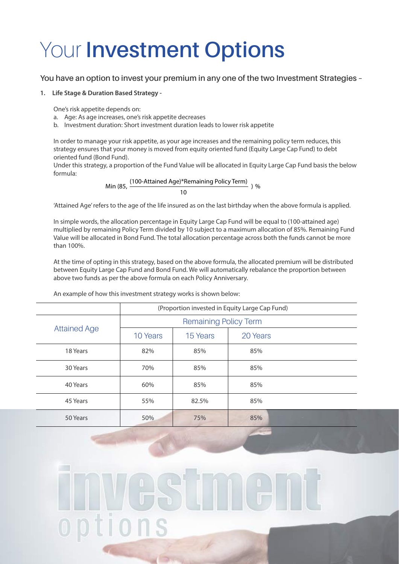### Your **Investment Options**

#### **You have an option to invest your premium in any one of the two Investment Strategies –**

#### **1. Life Stage & Duration Based Strategy -**

One's risk appetite depends on:

- a. Age: As age increases, one's risk appetite decreases
- b. Investment duration: Short investment duration leads to lower risk appetite

In order to manage your risk appetite, as your age increases and the remaining policy term reduces, this strategy ensures that your money is moved from equity oriented fund (Equity Large Cap Fund) to debt oriented fund (Bond Fund).

Under this strategy, a proportion of the Fund Value will be allocated in Equity Large Cap Fund basis the below formula:

Min (85, 
$$
\frac{(100\text{-}Attained Age)*Remaining PolicyTerm)}{10}
$$
) %

'Attained Age' refers to the age of the life insured as on the last birthday when the above formula is applied.

In simple words, the allocation percentage in Equity Large Cap Fund will be equal to (100-attained age) multiplied by remaining Policy Term divided by 10 subject to a maximum allocation of 85%. Remaining Fund Value will be allocated in Bond Fund. The total allocation percentage across both the funds cannot be more than 100%.

At the time of opting in this strategy, based on the above formula, the allocated premium will be distributed between Equity Large Cap Fund and Bond Fund. We will automatically rebalance the proportion between above two funds as per the above formula on each Policy Anniversary.

An example of how this investment strategy works is shown below:

|                     | (Proportion invested in Equity Large Cap Fund) |          |          |  |
|---------------------|------------------------------------------------|----------|----------|--|
|                     | <b>Remaining Policy Term</b>                   |          |          |  |
| <b>Attained Age</b> | 10 Years                                       | 15 Years | 20 Years |  |
| 18 Years            | 82%                                            | 85%      | 85%      |  |
| 30 Years            | 70%                                            | 85%      | 85%      |  |
| 40 Years            | 60%                                            | 85%      | 85%      |  |
| 45 Years            | 55%                                            | 82.5%    | 85%      |  |
| 50 Years            | 50%                                            | 75%      | 85%      |  |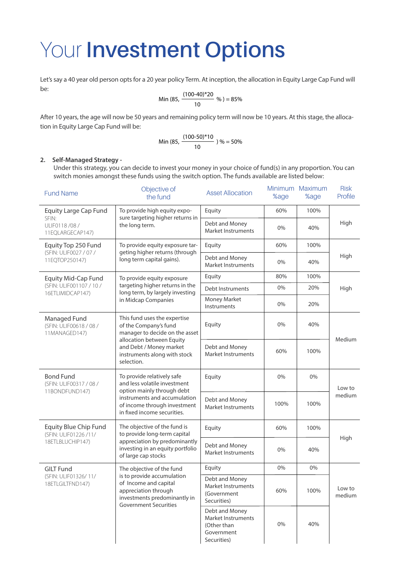### Your **Investment Options**

Let's say a 40 year old person opts for a 20 year policy Term. At inception, the allocation in Equity Large Cap Fund will be:

Min (85, 
$$
\frac{(100-40)*20}{10} % ) = 85\%
$$

After 10 years, the age will now be 50 years and remaining policy term will now be 10 years. At this stage, the allocation in Equity Large Cap Fund will be:

Min (85, 
$$
\frac{(100-50)*10}{10}
$$
) % = 50%

#### **2. Self-Managed Strategy -**

Under this strategy, you can decide to invest your money in your choice of fund(s) in any proportion. You can switch monies amongst these funds using the switch option. The funds available are listed below:

| <b>Fund Name</b>                                                                                                                                                                                                                                         | Objective of<br>the fund                                                                                                                    | <b>Asset Allocation</b>                                                          | %age | Minimum Maximum<br>%age | <b>Risk</b><br>Profile |
|----------------------------------------------------------------------------------------------------------------------------------------------------------------------------------------------------------------------------------------------------------|---------------------------------------------------------------------------------------------------------------------------------------------|----------------------------------------------------------------------------------|------|-------------------------|------------------------|
| Equity Large Cap Fund                                                                                                                                                                                                                                    | To provide high equity expo-                                                                                                                | Equity                                                                           | 60%  | 100%                    |                        |
| SFIN:<br>ULIF0118/08/<br>11EQLARGECAP147)                                                                                                                                                                                                                | sure targeting higher returns in<br>the long term.                                                                                          | Debt and Money<br>Market Instruments                                             | 0%   | 40%                     | High                   |
| Equity Top 250 Fund                                                                                                                                                                                                                                      | To provide equity exposure tar-                                                                                                             | Equity                                                                           | 60%  | 100%                    |                        |
| (SFIN: ULIF0027 / 07 /<br>11EQTOP250147)                                                                                                                                                                                                                 | geting higher returns (through<br>long term capital gains).                                                                                 | Debt and Money<br>Market Instruments                                             | 0%   | 40%                     | High                   |
| <b>Equity Mid-Cap Fund</b>                                                                                                                                                                                                                               | To provide equity exposure                                                                                                                  | Equity                                                                           | 80%  | 100%                    |                        |
| (SFIN: ULIF001107 / 10 /<br>16ETLIMIDCAP147)                                                                                                                                                                                                             | targeting higher returns in the<br>long term, by largely investing                                                                          | Debt Instruments                                                                 | 0%   | 20%                     | High                   |
|                                                                                                                                                                                                                                                          | in Midcap Companies                                                                                                                         | Money Market<br>Instruments                                                      | 0%   | 20%                     |                        |
| Managed Fund<br>(SFIN: ULIF00618 / 08 /<br>11MANAGED147)                                                                                                                                                                                                 | This fund uses the expertise<br>of the Company's fund<br>manager to decide on the asset                                                     | Equity                                                                           | 0%   | 40%                     | Medium                 |
|                                                                                                                                                                                                                                                          | allocation between Equity<br>and Debt / Money market<br>instruments along with stock<br>selection.                                          | Debt and Money<br><b>Market Instruments</b>                                      | 60%  | 100%                    |                        |
| <b>Bond Fund</b><br>To provide relatively safe<br>and less volatile investment<br>(SFIN: ULIF00317 / 08 /<br>option mainly through debt<br>11BONDFUND147)<br>instruments and accumulation<br>of income through investment<br>in fixed income securities. |                                                                                                                                             | Equity                                                                           | 0%   | 0%                      | Low to                 |
|                                                                                                                                                                                                                                                          |                                                                                                                                             | Debt and Money<br><b>Market Instruments</b>                                      | 100% | 100%                    | medium                 |
| The objective of the fund is<br>Equity Blue Chip Fund<br>to provide long-term capital<br>(SFIN: ULIF01226 /11/                                                                                                                                           |                                                                                                                                             | Equity                                                                           | 60%  | 100%                    |                        |
| 18ETLBLUCHIP147)                                                                                                                                                                                                                                         | appreciation by predominantly<br>investing in an equity portfolio<br>of large cap stocks                                                    | Debt and Money<br><b>Market Instruments</b>                                      | 0%   | 40%                     | High                   |
| <b>GILT Fund</b>                                                                                                                                                                                                                                         | The objective of the fund                                                                                                                   | Equity                                                                           | 0%   | 0%                      |                        |
| (SFIN: ULIF01326/11/<br>18ETLGILTFND147)                                                                                                                                                                                                                 | is to provide accumulation<br>of Income and capital<br>appreciation through<br>investments predominantly in<br><b>Government Securities</b> | Debt and Money<br>Market Instruments<br>(Government<br>Securities)               | 60%  | 100%                    | Low to<br>medium       |
|                                                                                                                                                                                                                                                          |                                                                                                                                             | Debt and Money<br>Market Instruments<br>(Other than<br>Government<br>Securities) | 0%   | 40%                     |                        |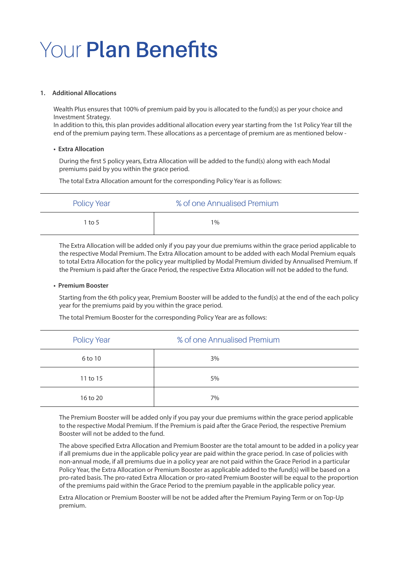### Your **Plan Benefits**

#### **1. Additional Allocations**

Wealth Plus ensures that 100% of premium paid by you is allocated to the fund(s) as per your choice and Investment Strategy.

In addition to this, this plan provides additional allocation every year starting from the 1st Policy Year till the end of the premium paying term. These allocations as a percentage of premium are as mentioned below -

#### **• Extra Allocation**

During the first 5 policy years, Extra Allocation will be added to the fund(s) along with each Modal premiums paid by you within the grace period.

The total Extra Allocation amount for the corresponding Policy Year is as follows:

| <b>Policy Year</b> | % of one Annualised Premium |
|--------------------|-----------------------------|
| 1 to 5             | $1\%$                       |

The Extra Allocation will be added only if you pay your due premiums within the grace period applicable to the respective Modal Premium. The Extra Allocation amount to be added with each Modal Premium equals to total Extra Allocation for the policy year multiplied by Modal Premium divided by Annualised Premium. If the Premium is paid after the Grace Period, the respective Extra Allocation will not be added to the fund.

#### **• Premium Booster**

Starting from the 6th policy year, Premium Booster will be added to the fund(s) at the end of the each policy year for the premiums paid by you within the grace period.

| <b>Policy Year</b> | % of one Annualised Premium |  |
|--------------------|-----------------------------|--|
| 6 to 10            | 3%                          |  |
| 11 to 15           | 5%                          |  |
| 16 to 20           | 7%                          |  |

The total Premium Booster for the corresponding Policy Year are as follows:

The Premium Booster will be added only if you pay your due premiums within the grace period applicable to the respective Modal Premium. If the Premium is paid after the Grace Period, the respective Premium Booster will not be added to the fund.

The above specified Extra Allocation and Premium Booster are the total amount to be added in a policy year if all premiums due in the applicable policy year are paid within the grace period. In case of policies with non-annual mode, if all premiums due in a policy year are not paid within the Grace Period in a particular Policy Year, the Extra Allocation or Premium Booster as applicable added to the fund(s) will be based on a pro-rated basis. The pro-rated Extra Allocation or pro-rated Premium Booster will be equal to the proportion of the premiums paid within the Grace Period to the premium payable in the applicable policy year.

Extra Allocation or Premium Booster will be not be added after the Premium Paying Term or on Top-Up premium.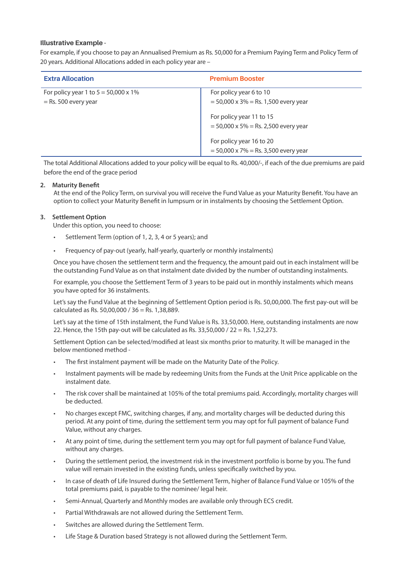#### **Illustrative Example -**

For example, if you choose to pay an Annualised Premium as Rs. 50,000 for a Premium Paying Term and Policy Term of 20 years. Additional Allocations added in each policy year are –

| <b>Extra Allocation</b>                      | <b>Premium Booster</b>                 |
|----------------------------------------------|----------------------------------------|
| For policy year 1 to $5 = 50,000 \times 1\%$ | For policy year 6 to 10                |
| $=$ Rs. 500 every year                       | $=$ 50,000 x 3% = Rs. 1,500 every year |
|                                              | For policy year 11 to 15               |
|                                              | $=$ 50,000 x 5% = Rs. 2,500 every year |
|                                              | For policy year 16 to 20               |
|                                              | $=$ 50,000 x 7% = Rs. 3,500 every year |

The total Additional Allocations added to your policy will be equal to Rs. 40,000/-, if each of the due premiums are paid before the end of the grace period

#### **2. Maturity Benefit**

At the end of the Policy Term, on survival you will receive the Fund Value as your Maturity Benefit. You have an option to collect your Maturity Benefit in lumpsum or in instalments by choosing the Settlement Option.

#### **3. Settlement Option**

Under this option, you need to choose:

- Settlement Term (option of 1, 2, 3, 4 or 5 years); and
- Frequency of pay-out (yearly, half-yearly, quarterly or monthly instalments)

Once you have chosen the settlement term and the frequency, the amount paid out in each instalment will be the outstanding Fund Value as on that instalment date divided by the number of outstanding instalments.

For example, you choose the Settlement Term of 3 years to be paid out in monthly instalments which means you have opted for 36 instalments.

Let's say the Fund Value at the beginning of Settlement Option period is Rs. 50,00,000. The first pay-out will be calculated as Rs. 50,00,000 / 36 = Rs. 1,38,889.

Let's say at the time of 15th instalment, the Fund Value is Rs. 33,50,000. Here, outstanding instalments are now 22. Hence, the 15th pay-out will be calculated as Rs. 33,50,000 / 22 = Rs. 1,52,273.

Settlement Option can be selected/modified at least six months prior to maturity. It will be managed in the below mentioned method -

- The first instalment payment will be made on the Maturity Date of the Policy.
- Instalment payments will be made by redeeming Units from the Funds at the Unit Price applicable on the instalment date.
- The risk cover shall be maintained at 105% of the total premiums paid. Accordingly, mortality charges will be deducted.
- No charges except FMC, switching charges, if any, and mortality charges will be deducted during this period. At any point of time, during the settlement term you may opt for full payment of balance Fund Value, without any charges.
- At any point of time, during the settlement term you may opt for full payment of balance Fund Value, without any charges.
- During the settlement period, the investment risk in the investment portfolio is borne by you. The fund value will remain invested in the existing funds, unless specifically switched by you.
- In case of death of Life Insured during the Settlement Term, higher of Balance Fund Value or 105% of the total premiums paid, is payable to the nominee/ legal heir.
- Semi-Annual, Quarterly and Monthly modes are available only through ECS credit.
- Partial Withdrawals are not allowed during the Settlement Term.
- Switches are allowed during the Settlement Term.
- Life Stage & Duration based Strategy is not allowed during the Settlement Term.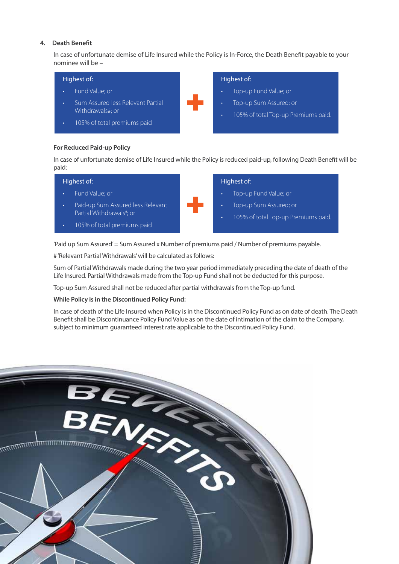#### **4. Death Benefit**

In case of unfortunate demise of Life Insured while the Policy is In-Force, the Death Benefit payable to your nominee will be –



#### **For Reduced Paid-up Policy**

In case of unfortunate demise of Life Insured while the Policy is reduced paid-up, following Death Benefit will be paid:

| Highest of:                                                   | Highest of:                                                   |
|---------------------------------------------------------------|---------------------------------------------------------------|
| Fund Value; or                                                | Top-up Fund Value; or                                         |
| Paid-up Sum Assured less Relevant<br>Partial Withdrawals#; or | Top-up Sum Assured; or<br>105% of total Top-up Premiums paid. |
| 105% of total premiums paid<br>٠                              |                                                               |

'Paid up Sum Assured' = Sum Assured x Number of premiums paid / Number of premiums payable.

# 'Relevant Partial Withdrawals' will be calculated as follows:

Sum of Partial Withdrawals made during the two year period immediately preceding the date of death of the Life Insured. Partial Withdrawals made from the Top-up Fund shall not be deducted for this purpose.

Top-up Sum Assured shall not be reduced after partial withdrawals from the Top-up fund.

#### **While Policy is in the Discontinued Policy Fund:**

In case of death of the Life Insured when Policy is in the Discontinued Policy Fund as on date of death. The Death Benefit shall be Discontinuance Policy Fund Value as on the date of intimation of the claim to the Company, subject to minimum guaranteed interest rate applicable to the Discontinued Policy Fund.

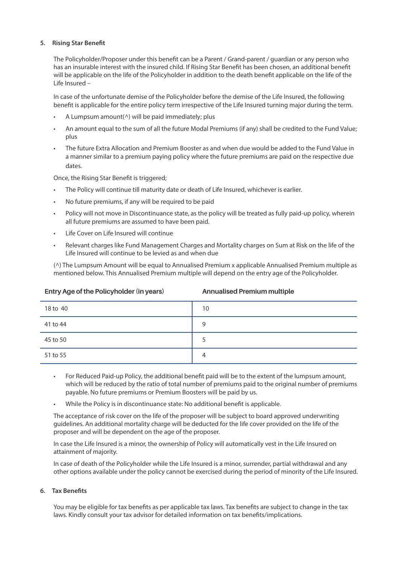#### **5. Rising Star Benefit**

The Policyholder/Proposer under this benefit can be a Parent / Grand-parent / guardian or any person who has an insurable interest with the insured child. If Rising Star Benefit has been chosen, an additional benefit will be applicable on the life of the Policyholder in addition to the death benefit applicable on the life of the Life Insured –

In case of the unfortunate demise of the Policyholder before the demise of the Life Insured, the following benefit is applicable for the entire policy term irrespective of the Life Insured turning major during the term.

- A Lumpsum amount( $\wedge$ ) will be paid immediately; plus
- An amount equal to the sum of all the future Modal Premiums (if any) shall be credited to the Fund Value; plus
- The future Extra Allocation and Premium Booster as and when due would be added to the Fund Value in a manner similar to a premium paying policy where the future premiums are paid on the respective due dates.

Once, the Rising Star Benefit is triggered;

- The Policy will continue till maturity date or death of Life Insured, whichever is earlier.
- No future premiums, if any will be required to be paid
- Policy will not move in Discontinuance state, as the policy will be treated as fully paid-up policy, wherein all future premiums are assumed to have been paid.
- Life Cover on Life Insured will continue
- Relevant charges like Fund Management Charges and Mortality charges on Sum at Risk on the life of the Life Insured will continue to be levied as and when due

(^) The Lumpsum Amount will be equal to Annualised Premium x applicable Annualised Premium multiple as mentioned below. This Annualised Premium multiple will depend on the entry age of the Policyholder.

| 18 to 40 | 10 |
|----------|----|
| 41 to 44 | 9  |
| 45 to 50 |    |
| 51 to 55 | 4  |

- - For Reduced Paid-up Policy, the additional benefit paid will be to the extent of the lumpsum amount, which will be reduced by the ratio of total number of premiums paid to the original number of premiums payable. No future premiums or Premium Boosters will be paid by us.
	- While the Policy is in discontinuance state: No additional benefit is applicable.

The acceptance of risk cover on the life of the proposer will be subject to board approved underwriting guidelines. An additional mortality charge will be deducted for the life cover provided on the life of the proposer and will be dependent on the age of the proposer.

In case the Life Insured is a minor, the ownership of Policy will automatically vest in the Life Insured on attainment of majority.

In case of death of the Policyholder while the Life Insured is a minor, surrender, partial withdrawal and any other options available under the policy cannot be exercised during the period of minority of the Life Insured.

#### **6. Tax Benefits**

You may be eligible for tax benefits as per applicable tax laws. Tax benefits are subject to change in the tax laws. Kindly consult your tax advisor for detailed information on tax benefits/implications.

#### **Entry Age of the Policyholder (in years)**

#### **Annualised Premium multiple**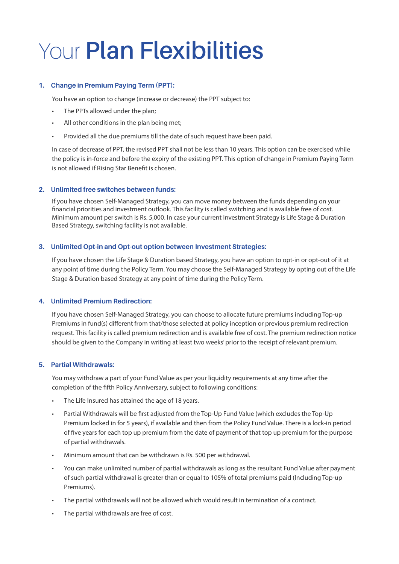### Your **Plan Flexibilities**

#### **1. Change in Premium Paying Term (PPT):**

You have an option to change (increase or decrease) the PPT subject to:

- The PPTs allowed under the plan;
- All other conditions in the plan being met;
- Provided all the due premiums till the date of such request have been paid.

In case of decrease of PPT, the revised PPT shall not be less than 10 years. This option can be exercised while the policy is in-force and before the expiry of the existing PPT. This option of change in Premium Paying Term is not allowed if Rising Star Benefit is chosen.

#### **2. Unlimited free switches between funds:**

If you have chosen Self-Managed Strategy, you can move money between the funds depending on your financial priorities and investment outlook. This facility is called switching and is available free of cost. Minimum amount per switch is Rs. 5,000. In case your current Investment Strategy is Life Stage & Duration Based Strategy, switching facility is not available.

#### **3. Unlimited Opt-in and Opt-out option between Investment Strategies:**

If you have chosen the Life Stage & Duration based Strategy, you have an option to opt-in or opt-out of it at any point of time during the Policy Term. You may choose the Self-Managed Strategy by opting out of the Life Stage & Duration based Strategy at any point of time during the Policy Term.

#### **4. Unlimited Premium Redirection:**

If you have chosen Self-Managed Strategy, you can choose to allocate future premiums including Top-up Premiums in fund(s) different from that/those selected at policy inception or previous premium redirection request. This facility is called premium redirection and is available free of cost. The premium redirection notice should be given to the Company in writing at least two weeks' prior to the receipt of relevant premium.

#### **5. Partial Withdrawals:**

You may withdraw a part of your Fund Value as per your liquidity requirements at any time after the completion of the fifth Policy Anniversary, subject to following conditions:

- The Life Insured has attained the age of 18 years.
- Partial Withdrawals will be first adjusted from the Top-Up Fund Value (which excludes the Top-Up Premium locked in for 5 years), if available and then from the Policy Fund Value. There is a lock-in period of five years for each top up premium from the date of payment of that top up premium for the purpose of partial withdrawals.
- Minimum amount that can be withdrawn is Rs. 500 per withdrawal.
- You can make unlimited number of partial withdrawals as long as the resultant Fund Value after payment of such partial withdrawal is greater than or equal to 105% of total premiums paid (Including Top-up Premiums).
- The partial withdrawals will not be allowed which would result in termination of a contract.
- The partial withdrawals are free of cost.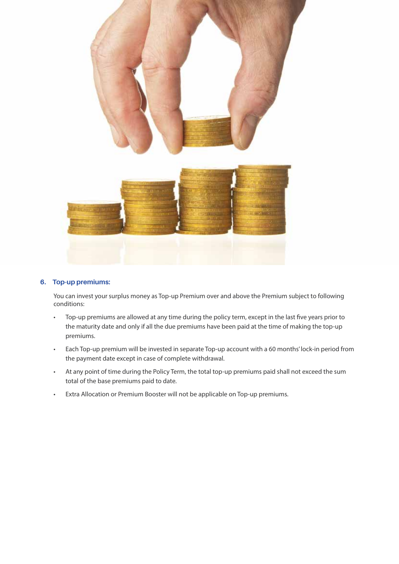

#### **6. Top-up premiums:**

You can invest your surplus money as Top-up Premium over and above the Premium subject to following conditions:

- Top-up premiums are allowed at any time during the policy term, except in the last five years prior to the maturity date and only if all the due premiums have been paid at the time of making the top-up premiums.
- Each Top-up premium will be invested in separate Top-up account with a 60 months' lock-in period from the payment date except in case of complete withdrawal.
- At any point of time during the Policy Term, the total top-up premiums paid shall not exceed the sum total of the base premiums paid to date.
- Extra Allocation or Premium Booster will not be applicable on Top-up premiums.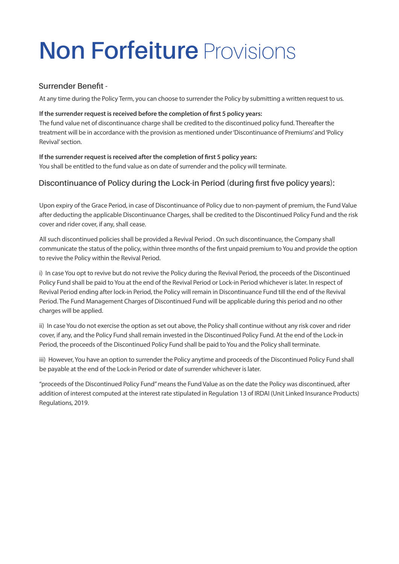# **Non Forfeiture** Provisions

#### **Surrender Benefit -**

At any time during the Policy Term, you can choose to surrender the Policy by submitting a written request to us.

#### **If the surrender request is received before the completion of first 5 policy years:**

The fund value net of discontinuance charge shall be credited to the discontinued policy fund. Thereafter the treatment will be in accordance with the provision as mentioned under 'Discontinuance of Premiums' and 'Policy Revival' section.

#### **If the surrender request is received after the completion of first 5 policy years:**  You shall be entitled to the fund value as on date of surrender and the policy will terminate.

#### **Discontinuance of Policy during the Lock-in Period (during first five policy years):**

Upon expiry of the Grace Period, in case of Discontinuance of Policy due to non-payment of premium, the Fund Value after deducting the applicable Discontinuance Charges, shall be credited to the Discontinued Policy Fund and the risk cover and rider cover, if any, shall cease.

All such discontinued policies shall be provided a Revival Period . On such discontinuance, the Company shall communicate the status of the policy, within three months of the first unpaid premium to You and provide the option to revive the Policy within the Revival Period.

i) In case You opt to revive but do not revive the Policy during the Revival Period, the proceeds of the Discontinued Policy Fund shall be paid to You at the end of the Revival Period or Lock-in Period whichever is later. In respect of Revival Period ending after lock-in Period, the Policy will remain in Discontinuance Fund till the end of the Revival Period. The Fund Management Charges of Discontinued Fund will be applicable during this period and no other charges will be applied.

ii) In case You do not exercise the option as set out above, the Policy shall continue without any risk cover and rider cover, if any, and the Policy Fund shall remain invested in the Discontinued Policy Fund. At the end of the Lock-in Period, the proceeds of the Discontinued Policy Fund shall be paid to You and the Policy shall terminate.

iii) However, You have an option to surrender the Policy anytime and proceeds of the Discontinued Policy Fund shall be payable at the end of the Lock-in Period or date of surrender whichever is later.

"proceeds of the Discontinued Policy Fund" means the Fund Value as on the date the Policy was discontinued, after addition of interest computed at the interest rate stipulated in Regulation 13 of IRDAI (Unit Linked Insurance Products) Regulations, 2019.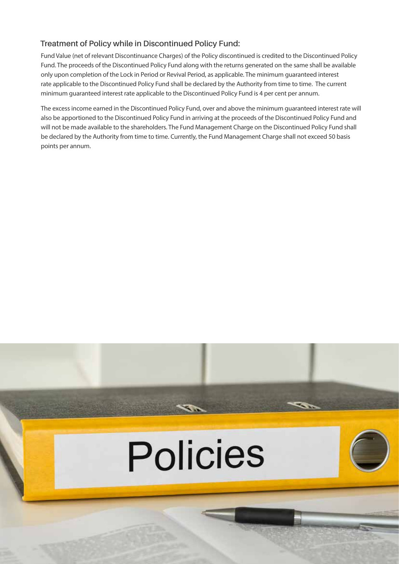#### **Treatment of Policy while in Discontinued Policy Fund:**

Fund Value (net of relevant Discontinuance Charges) of the Policy discontinued is credited to the Discontinued Policy Fund. The proceeds of the Discontinued Policy Fund along with the returns generated on the same shall be available only upon completion of the Lock in Period or Revival Period, as applicable. The minimum guaranteed interest rate applicable to the Discontinued Policy Fund shall be declared by the Authority from time to time. The current minimum guaranteed interest rate applicable to the Discontinued Policy Fund is 4 per cent per annum.

The excess income earned in the Discontinued Policy Fund, over and above the minimum guaranteed interest rate will also be apportioned to the Discontinued Policy Fund in arriving at the proceeds of the Discontinued Policy Fund and will not be made available to the shareholders. The Fund Management Charge on the Discontinued Policy Fund shall be declared by the Authority from time to time. Currently, the Fund Management Charge shall not exceed 50 basis points per annum.

# **Policies**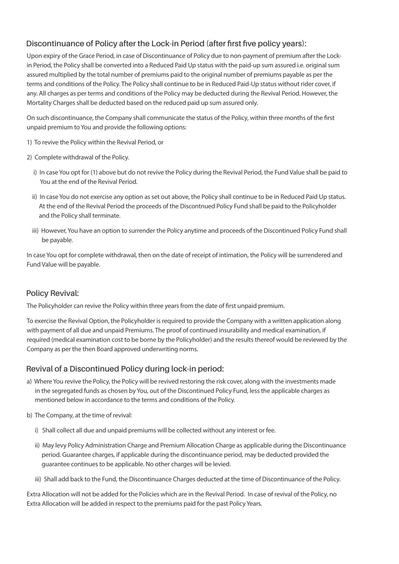#### **Discontinuance of Policy after the Lock-in Period (after first five policy years):**

Upon expiry of the Grace Period, in case of Discontinuance of Policy due to non-payment of premium after the Lockin Period, the Policy shall be converted into a Reduced Paid Up status with the paid-up sum assured i.e. original sum assured multiplied by the total number of premiums paid to the original number of premiums payable as per the terms and conditions of the Policy. The Policy shall continue to be in Reduced Paid-Up status without rider cover, if any. All charges as per terms and conditions of the Policy may be deducted during the Revival Period. However, the Mortality Charges shall be deducted based on the reduced paid up sum assured only.

On such discontinuance, the Company shall communicate the status of the Policy, within three months of the first unpaid premium to You and provide the following options:

- 1) To revive the Policy within the Revival Period, or
- 2) Complete withdrawal of the Policy.
	- i) In case You opt for (1) above but do not revive the Policy during the Revival Period, the Fund Value shall be paid to You at the end of the Revival Period.
	- ii) In case You do not exercise any option as set out above, the Policy shall continue to be in Reduced Paid Up status. At the end of the Revival Period the proceeds of the Discontnued Policy Fund shall be paid to the Policyholder and the Policy shall terminate.
	- iii) However, You have an option to surrender the Policy anytime and proceeds of the Discontinued Policy Fund shall be payable.

In case You opt for complete withdrawal, then on the date of receipt of intimation, the Policy will be surrendered and Fund Value will be payable.

#### **Policy Revival:**

The Policyholder can revive the Policy within three years from the date of first unpaid premium.

To exercise the Revival Option, the Policyholder is required to provide the Company with a written application along with payment of all due and unpaid Premiums. The proof of continued insurability and medical examination, if required (medical examination cost to be borne by the Policyholder) and the results thereof would be reviewed by the Company as per the then Board approved underwriting norms.

#### **Revival of a Discontinued Policy during lock-in period:**

- a) Where You revive the Policy, the Policy will be revived restoring the risk cover, along with the investments made in the segregated funds as chosen by You, out of the Discontinued Policy Fund, less the applicable charges as mentioned below in accordance to the terms and conditions of the Policy.
- b) The Company, at the time of revival:
	- i) Shall collect all due and unpaid premiums will be collected without any interest or fee.
	- ii) May levy Policy Administration Charge and Premium Allocation Charge as applicable during the Discontinuance period. Guarantee charges, if applicable during the discontinuance period, may be deducted provided the guarantee continues to be applicable. No other charges will be levied.
	- iii) Shall add back to the Fund, the Discontinuance Charges deducted at the time of Discontinuance of the Policy.

Extra Allocation will not be added for the Policies which are in the Revival Period. In case of revival of the Policy, no Extra Allocation will be added in respect to the premiums paid for the past Policy Years.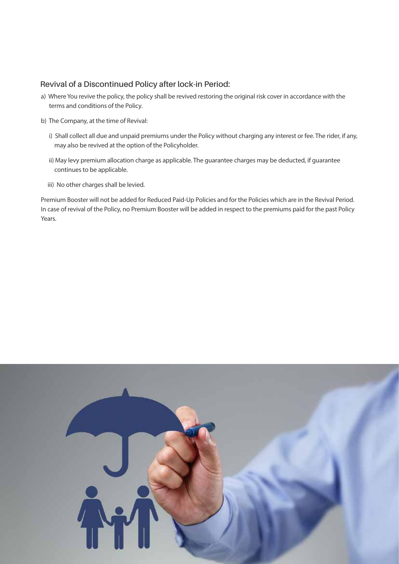#### **Revival of a Discontinued Policy after lock-in Period:**

- a) Where You revive the policy, the policy shall be revived restoring the original risk cover in accordance with the terms and conditions of the Policy.
- b) The Company, at the time of Revival:
	- i) Shall collect all due and unpaid premiums under the Policy without charging any interest or fee. The rider, if any, may also be revived at the option of the Policyholder.
	- ii) May levy premium allocation charge as applicable. The guarantee charges may be deducted, if guarantee continues to be applicable.
	- iii) No other charges shall be levied.

Premium Booster will not be added for Reduced Paid-Up Policies and for the Policies which are in the Revival Period. In case of revival of the Policy, no Premium Booster will be added in respect to the premiums paid for the past Policy Years.

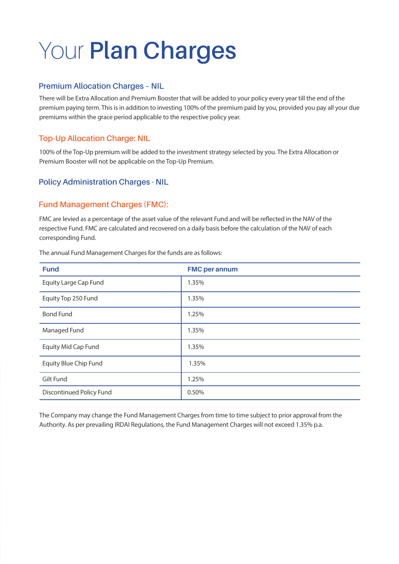# Your **Plan Charges**

#### **Premium Allocation Charges – NIL**

There will be Extra Allocation and Premium Booster that will be added to your policy every year till the end of the premium paying term. This is in addition to investing 100% of the premium paid by you, provided you pay all your due premiums within the grace period applicable to the respective policy year.

#### **Top-Up Allocation Charge: NIL**

100% of the Top-Up premium will be added to the investment strategy selected by you. The Extra Allocation or Premium Booster will not be applicable on the Top-Up Premium.

#### **Policy Administration Charges - NIL**

#### **Fund Management Charges (FMC):**

FMC are levied as a percentage of the asset value of the relevant Fund and will be reflected in the NAV of the respective Fund. FMC are calculated and recovered on a daily basis before the calculation of the NAV of each corresponding Fund.

| <b>Fund</b>                     | <b>FMC per annum</b> |
|---------------------------------|----------------------|
| <b>Equity Large Cap Fund</b>    | 1.35%                |
| Equity Top 250 Fund             | 1.35%                |
| <b>Bond Fund</b>                | 1.25%                |
| Managed Fund                    | 1.35%                |
| <b>Equity Mid Cap Fund</b>      | 1.35%                |
| Equity Blue Chip Fund           | 1.35%                |
| Gilt Fund                       | 1.25%                |
| <b>Discontinued Policy Fund</b> | 0.50%                |

The annual Fund Management Charges for the funds are as follows:

The Company may change the Fund Management Charges from time to time subject to prior approval from the Authority. As per prevailing IRDAI Regulations, the Fund Management Charges will not exceed 1.35% p.a.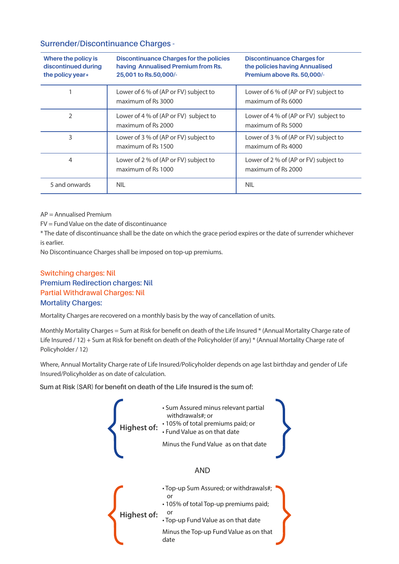#### **Surrender/Discontinuance Charges -**

| Where the policy is<br>discontinued during<br>the policy year* | <b>Discontinuance Charges for the policies</b><br>having Annualised Premium from Rs.<br>25,001 to Rs.50,000/- | <b>Discontinuance Charges for</b><br>the policies having Annualised<br>Premium above Rs. 50,000/- |
|----------------------------------------------------------------|---------------------------------------------------------------------------------------------------------------|---------------------------------------------------------------------------------------------------|
|                                                                | Lower of 6 % of (AP or FV) subject to<br>maximum of Rs 3000                                                   | Lower of 6 % of (AP or FV) subject to<br>maximum of Rs 6000                                       |
| 2                                                              | Lower of 4 % of (AP or FV) subject to<br>maximum of Rs 2000                                                   | Lower of 4 % of (AP or FV) subject to<br>maximum of Rs 5000                                       |
| 3                                                              | Lower of 3 % of (AP or FV) subject to<br>maximum of Rs 1500                                                   | Lower of 3 % of (AP or FV) subject to<br>maximum of Rs 4000                                       |
| 4                                                              | Lower of 2 % of (AP or FV) subject to<br>maximum of Rs 1000                                                   | Lower of 2 % of (AP or FV) subject to<br>maximum of Rs 2000                                       |
| 5 and onwards                                                  | <b>NIL</b>                                                                                                    | <b>NIL</b>                                                                                        |

AP = Annualised Premium

FV = Fund Value on the date of discontinuance

\* The date of discontinuance shall be the date on which the grace period expires or the date of surrender whichever is earlier.

No Discontinuance Charges shall be imposed on top-up premiums.

**Switching charges: Nil Partial Withdrawal Charges: Nil Premium Redirection charges: Nil Mortality Charges:** 

Mortality Charges are recovered on a monthly basis by the way of cancellation of units.

Monthly Mortality Charges = Sum at Risk for benefit on death of the Life Insured \* (Annual Mortality Charge rate of Life Insured / 12) + Sum at Risk for benefit on death of the Policyholder (if any) \* (Annual Mortality Charge rate of Policyholder / 12)

Where, Annual Mortality Charge rate of Life Insured/Policyholder depends on age last birthday and gender of Life Insured/Policyholder as on date of calculation.

**Sum at Risk (SAR) for benefit on death of the Life Insured is the sum of:** 

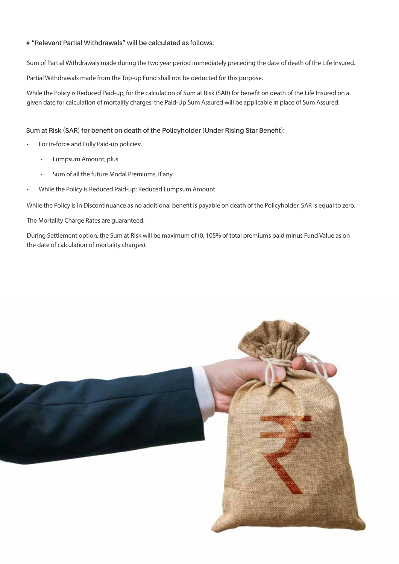#### **# "Relevant Partial Withdrawals" will be calculated as follows:**

Sum of Partial Withdrawals made during the two year period immediately preceding the date of death of the Life Insured.

Partial Withdrawals made from the Top-up Fund shall not be deducted for this purpose.

While the Policy is Reduced Paid-up, for the calculation of Sum at Risk (SAR) for benefit on death of the Life Insured on a given date for calculation of mortality charges, the Paid-Up Sum Assured will be applicable in place of Sum Assured.

#### **Sum at Risk (SAR) for benefit on death of the Policyholder (Under Rising Star Benefit):**

- For in-force and Fully Paid-up policies:
	- Lumpsum Amount; plus
	- Sum of all the future Modal Premiums, if any
- While the Policy is Reduced Paid-up: Reduced Lumpsum Amount

While the Policy is in Discontinuance as no additional benefit is payable on death of the Policyholder, SAR is equal to zero.

The Mortality Charge Rates are guaranteed.

During Settlement option, the Sum at Risk will be maximum of (0, 105% of total premiums paid minus Fund Value as on the date of calculation of mortality charges).

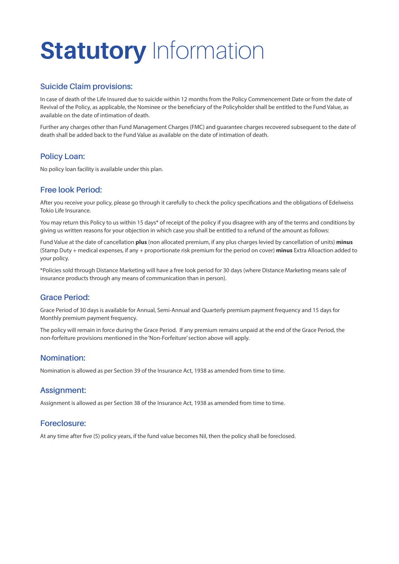# **Statutory** Information

#### **Suicide Claim provisions:**

In case of death of the Life Insured due to suicide within 12 months from the Policy Commencement Date or from the date of Revival of the Policy, as applicable, the Nominee or the beneficiary of the Policyholder shall be entitled to the Fund Value, as available on the date of intimation of death.

Further any charges other than Fund Management Charges (FMC) and guarantee charges recovered subsequent to the date of death shall be added back to the Fund Value as available on the date of intimation of death.

#### **Policy Loan:**

No policy loan facility is available under this plan.

#### **Free look Period:**

After you receive your policy, please go through it carefully to check the policy specifications and the obligations of Edelweiss Tokio Life Insurance.

You may return this Policy to us within 15 days\* of receipt of the policy if you disagree with any of the terms and conditions by giving us written reasons for your objection in which case you shall be entitled to a refund of the amount as follows:

Fund Value at the date of cancellation **plus** (non allocated premium, if any plus charges levied by cancellation of units) **minus** (Stamp Duty + medical expenses, if any + proportionate risk premium for the period on cover) **minus** Extra Alloaction added to your policy.

\*Policies sold through Distance Marketing will have a free look period for 30 days (where Distance Marketing means sale of insurance products through any means of communication than in person).

#### **Grace Period:**

Grace Period of 30 days is available for Annual, Semi-Annual and Quarterly premium payment frequency and 15 days for Monthly premium payment frequency.

The policy will remain in force during the Grace Period. If any premium remains unpaid at the end of the Grace Period, the non-forfeiture provisions mentioned in the 'Non-Forfeiture' section above will apply.

#### **Nomination:**

Nomination is allowed as per Section 39 of the Insurance Act, 1938 as amended from time to time.

#### **Assignment:**

Assignment is allowed as per Section 38 of the Insurance Act, 1938 as amended from time to time.

#### **Foreclosure:**

At any time after five (5) policy years, if the fund value becomes Nil, then the policy shall be foreclosed.